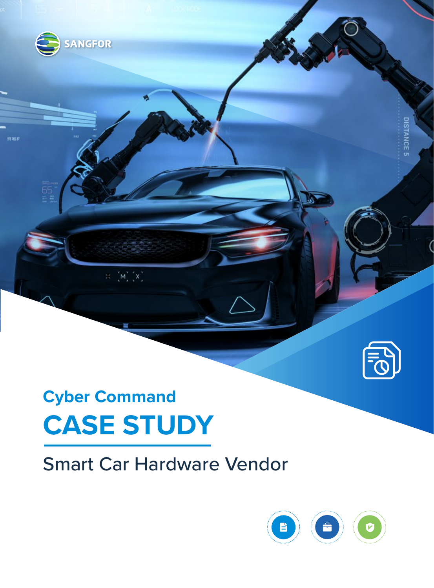

**DISTANCE 5** 

# **Cyber Command CASE STUDY**

 $\mathbb{H}=\left[M_{\mathbb{Z}}^{2}\left[X\right]\right]$ 

SANGFOR

.<br>706

## Smart Car Hardware Vendor

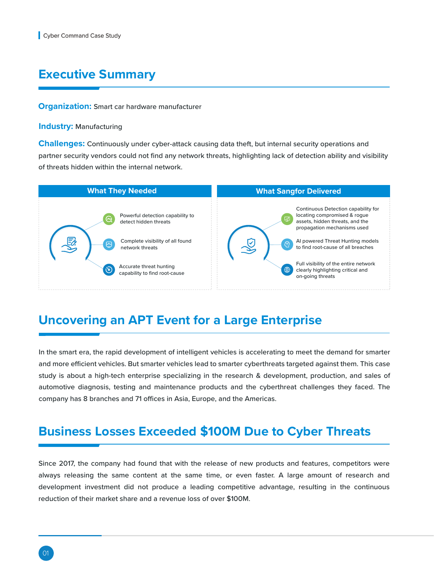#### **Executive Summary**

#### **Organization:** Smart car hardware manufacturer

#### **Industry: Manufacturing**

**Challenges:** Continuously under cyber-attack causing data theft, but internal security operations and partner security vendors could not find any network threats, highlighting lack of detection ability and visibility of threats hidden within the internal network.



#### **Uncovering an APT Event for a Large Enterprise**

In the smart era, the rapid development of intelligent vehicles is accelerating to meet the demand for smarter and more efficient vehicles. But smarter vehicles lead to smarter cyberthreats targeted against them. This case study is about a high-tech enterprise specializing in the research & development, production, and sales of automotive diagnosis, testing and maintenance products and the cyberthreat challenges they faced. The company has 8 branches and 71 offices in Asia, Europe, and the Americas.

#### **Business Losses Exceeded \$100M Due to Cyber Threats**

Since 2017, the company had found that with the release of new products and features, competitors were always releasing the same content at the same time, or even faster. A large amount of research and development investment did not produce a leading competitive advantage, resulting in the continuous reduction of their market share and a revenue loss of over \$100M.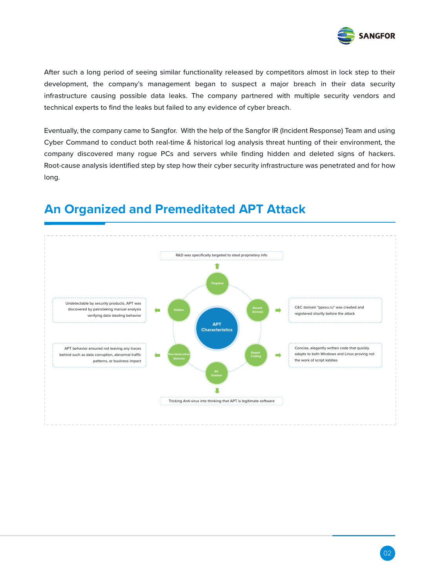

After such a long period of seeing similar functionality released by competitors almost in lock step to their development, the company's management began to suspect a major breach in their data security infrastructure causing possible data leaks. The company partnered with multiple security vendors and technical experts to find the leaks but failed to any evidence of cyber breach.

Eventually, the company came to Sangfor. With the help of the Sangfor IR (Incident Response) Team and using Cyber Command to conduct both real-time & historical log analysis threat hunting of their environment, the company discovered many rogue PCs and servers while finding hidden and deleted signs of hackers. Root-cause analysis identified step by step how their cyber security infrastructure was penetrated and for how long.



#### **An Organized and Premeditated APT Attack**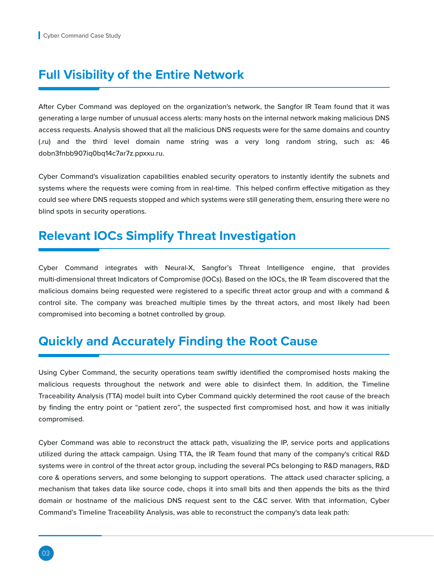#### **Full Visibility of the Entire Network**

After Cyber Command was deployed on the organization's network, the Sangfor IR Team found that it was generating a large number of unusual access alerts: many hosts on the internal network making malicious DNS access requests. Analysis showed that all the malicious DNS requests were for the same domains and country (.ru) and the third level domain name string was a very long random string, such as: 46 dobn3fnbb907iq0bq14c7ar7z.ppxxu.ru.

Cyber Command's visualization capabilities enabled security operators to instantly identify the subnets and systems where the requests were coming from in real-time. This helped confirm effective mitigation as they could see where DNS requests stopped and which systems were still generating them, ensuring there were no blind spots in security operations.

#### **Relevant IOCs Simplify Threat Investigation**

Cyber Command integrates with Neural-X, Sangfor's Threat Intelligence engine, that provides multi-dimensional threat Indicators of Compromise (IOCs). Based on the IOCs, the IR Team discovered that the malicious domains being requested were registered to a specific threat actor group and with a command & control site. The company was breached multiple times by the threat actors, and most likely had been compromised into becoming a botnet controlled by group.

#### **Quickly and Accurately Finding the Root Cause**

Using Cyber Command, the security operations team swiftly identified the compromised hosts making the malicious requests throughout the network and were able to disinfect them. In addition, the Timeline Traceability Analysis (TTA) model built into Cyber Command quickly determined the root cause of the breach by finding the entry point or "patient zero", the suspected first compromised host, and how it was initially compromised.

Cyber Command was able to reconstruct the attack path, visualizing the IP, service ports and applications utilized during the attack campaign. Using TTA, the IR Team found that many of the company's critical R&D systems were in control of the threat actor group, including the several PCs belonging to R&D managers, R&D core & operations servers, and some belonging to support operations. The attack used character splicing, a mechanism that takes data like source code, chops it into small bits and then appends the bits as the third domain or hostname of the malicious DNS request sent to the C&C server. With that information, Cyber Command's Timeline Traceability Analysis, was able to reconstruct the company's data leak path: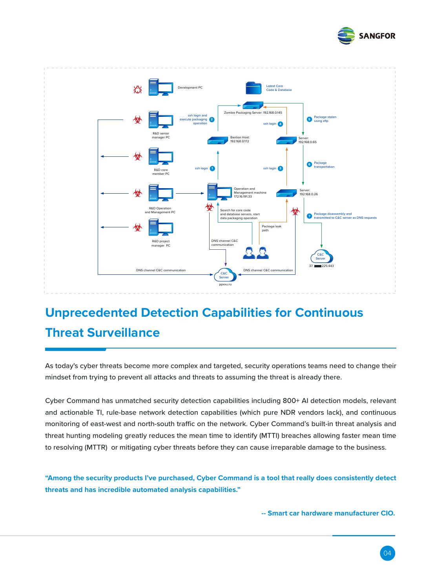



## **Unprecedented Detection Capabilities for Continuous Threat Surveillance**

As today's cyber threats become more complex and targeted, security operations teams need to change their mindset from trying to prevent all attacks and threats to assuming the threat is already there.

Cyber Command has unmatched security detection capabilities including 800+ AI detection models, relevant and actionable TI, rule-base network detection capabilities (which pure NDR vendors lack), and continuous monitoring of east-west and north-south traffic on the network. Cyber Command's built-in threat analysis and threat hunting modeling greatly reduces the mean time to identify (MTTI) breaches allowing faster mean time to resolving (MTTR) or mitigating cyber threats before they can cause irreparable damage to the business.

**"Among the security products I've purchased, Cyber Command is a tool that really does consistently detect threats and has incredible automated analysis capabilities."** 

 **-- Smart car hardware manufacturer CIO.**